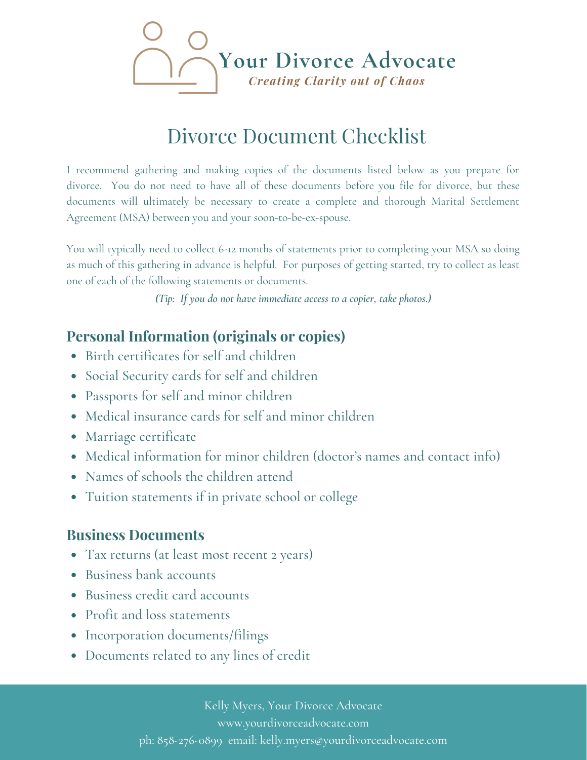

# **Divorce Document Checklist**

I recommend gathering and making copies of the documents listed below as you prepare for divorce. You do not need to have all of these documents before you file for divorce, but these documents will ultimately be necessary to create a complete and thorough Marital Settlement Agreement (MSA) between you and your soon-to-be-ex-spouse.

You will typically need to collect 6-12 months of statements prior to completing your MSA so doing as much of this gathering in advance is helpful. For purposes of getting started, try to collect as least one of each of the following statements or documents.

(Tip: If you do not have immediate access to a copier, take photos.)

#### **Personal Information (originals or copies)**

- Birth certificates for self and children
- Social Security cards for self and children
- Passports for self and minor children
- · Medical insurance cards for self and minor children
- Marriage certificate
- Medical information for minor children (doctor's names and contact info)
- Names of schools the children attend
- Tuition statements if in private school or college

#### **Business Documents**

- Tax returns (at least most recent 2 years)
- Business bank accounts
- Business credit card accounts
- Profit and loss statements
- Incorporation documents/filings
- Documents related to any lines of credit

Kelly Myers, Your Divorce Advocate www.yourdivorceadvocate.com ph: 858-276-0899 email: kelly.myers@yourdivorceadvocate.com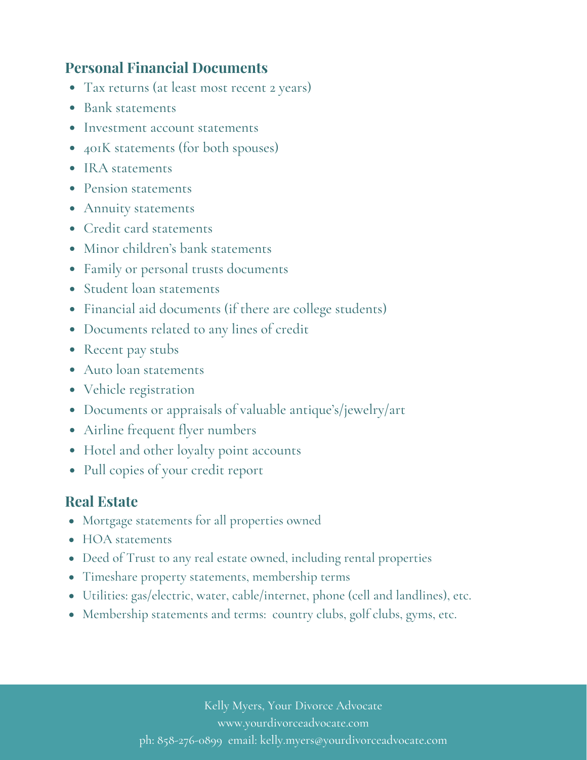#### **Personal Financial Documents**

- Tax returns (at least most recent 2 years)
- Bank statements
- Investment account statements
- 401K statements (for both spouses)
- IRA statements
- Pension statements
- Annuity statements
- Credit card statements
- Minor children's bank statements
- Family or personal trusts documents
- Student loan statements
- Financial aid documents (if there are college students)
- Documents related to any lines of credit
- Recent pay stubs
- Auto loan statements
- Vehicle registration
- Documents or appraisals of valuable antique's/jewelry/art
- Airline frequent flyer numbers
- Hotel and other loyalty point accounts
- Pull copies of your credit report

### **Real Estate**

- Mortgage statements for all properties owned
- HOA statements
- Deed of Trust to any real estate owned, including rental properties
- Timeshare property statements, membership terms
- Utilities: gas/electric, water, cable/internet, phone (cell and landlines), etc.
- Membership statements and terms: country clubs, golf clubs, gyms, etc.

Kelly Myers, Your Divorce Advocate www.yourdivorceadvocate.com ph: 858-276-0899 email: kelly.myers@yourdivorceadvocate.com